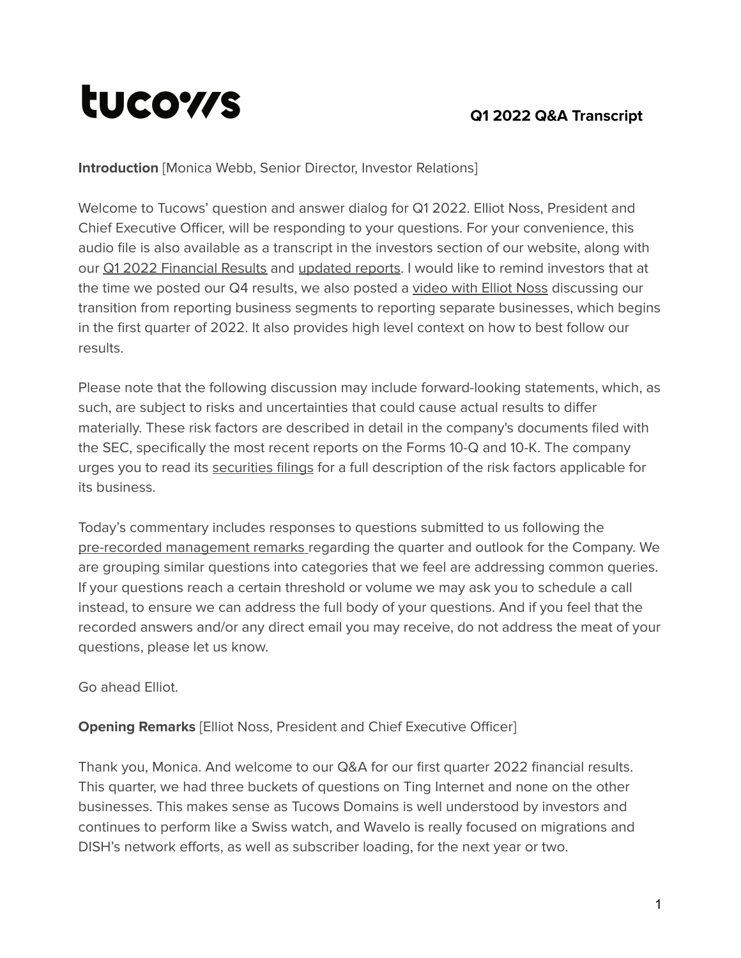# tucows

## **Q1 2022 Q&A Transcript**

**Introduction** [Monica Webb, Senior Director, Investor Relations]

Welcome to Tucows' question and answer dialog for Q1 2022. Elliot Noss, President and Chief Executive Officer, will be responding to your questions. For your convenience, this audio file is also available as a transcript in the investors section of our website, along with our Q1 2022 [Financial](https://tucows.com/investors/financials/) Results and [updated](https://tucows.com/investors/investor-videos/) reports. I would like to remind investors that at the time we posted our Q4 results, we also posted a [video](https://vimeo.com/675592141/6416c98c10) with Elliot Noss discussing our transition from reporting business segments to reporting separate businesses, which begins in the first quarter of 2022. It also provides high level context on how to best follow our results.

Please note that the following discussion may include forward-looking statements, which, as such, are subject to risks and uncertainties that could cause actual results to differ materially. These risk factors are described in detail in the company's documents filed with the SEC, specifically the most recent reports on the Forms 10-Q and 10-K. The company urges you to read its [securities](https://www.tucows.com/investors/filings/) filings for a full description of the risk factors applicable for its business.

Today's commentary includes responses to questions submitted to us following the pre-recorded [management](https://tucows.com/wp-content/uploads/2022/02/2021-Q4-TCX-results-management-remarks-transcript.pdf) remarks [r](https://tucows.com/wp-content/uploads/2021/11/2021-Q3-TCX-results-management-remarks-transcript.pdf)egarding the quarter and outlook for the Company. We are grouping similar questions into categories that we feel are addressing common queries. If your questions reach a certain threshold or volume we may ask you to schedule a call instead, to ensure we can address the full body of your questions. And if you feel that the recorded answers and/or any direct email you may receive, do not address the meat of your questions, please let us know.

Go ahead Elliot.

## **Opening Remarks** [Elliot Noss, President and Chief Executive Officer]

Thank you, Monica. And welcome to our Q&A for our first quarter 2022 financial results. This quarter, we had three buckets of questions on Ting Internet and none on the other businesses. This makes sense as Tucows Domains is well understood by investors and continues to perform like a Swiss watch, and Wavelo is really focused on migrations and DISH's network efforts, as well as subscriber loading, for the next year or two.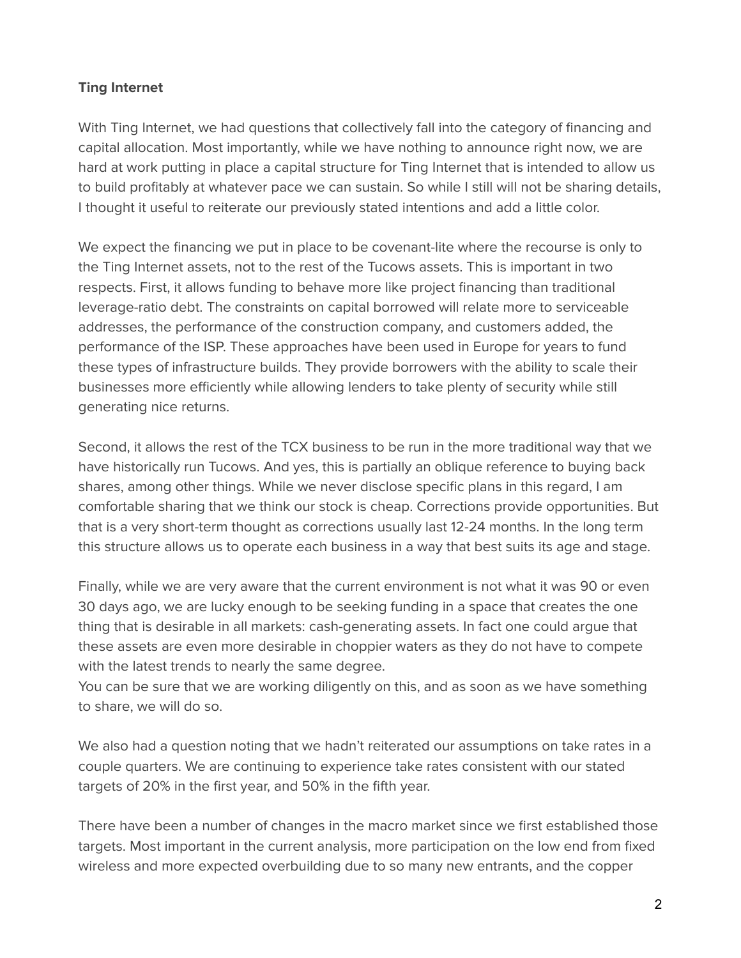### **Ting Internet**

With Ting Internet, we had questions that collectively fall into the category of financing and capital allocation. Most importantly, while we have nothing to announce right now, we are hard at work putting in place a capital structure for Ting Internet that is intended to allow us to build profitably at whatever pace we can sustain. So while I still will not be sharing details, I thought it useful to reiterate our previously stated intentions and add a little color.

We expect the financing we put in place to be covenant-lite where the recourse is only to the Ting Internet assets, not to the rest of the Tucows assets. This is important in two respects. First, it allows funding to behave more like project financing than traditional leverage-ratio debt. The constraints on capital borrowed will relate more to serviceable addresses, the performance of the construction company, and customers added, the performance of the ISP. These approaches have been used in Europe for years to fund these types of infrastructure builds. They provide borrowers with the ability to scale their businesses more efficiently while allowing lenders to take plenty of security while still generating nice returns.

Second, it allows the rest of the TCX business to be run in the more traditional way that we have historically run Tucows. And yes, this is partially an oblique reference to buying back shares, among other things. While we never disclose specific plans in this regard, I am comfortable sharing that we think our stock is cheap. Corrections provide opportunities. But that is a very short-term thought as corrections usually last 12-24 months. In the long term this structure allows us to operate each business in a way that best suits its age and stage.

Finally, while we are very aware that the current environment is not what it was 90 or even 30 days ago, we are lucky enough to be seeking funding in a space that creates the one thing that is desirable in all markets: cash-generating assets. In fact one could argue that these assets are even more desirable in choppier waters as they do not have to compete with the latest trends to nearly the same degree.

You can be sure that we are working diligently on this, and as soon as we have something to share, we will do so.

We also had a question noting that we hadn't reiterated our assumptions on take rates in a couple quarters. We are continuing to experience take rates consistent with our stated targets of 20% in the first year, and 50% in the fifth year.

There have been a number of changes in the macro market since we first established those targets. Most important in the current analysis, more participation on the low end from fixed wireless and more expected overbuilding due to so many new entrants, and the copper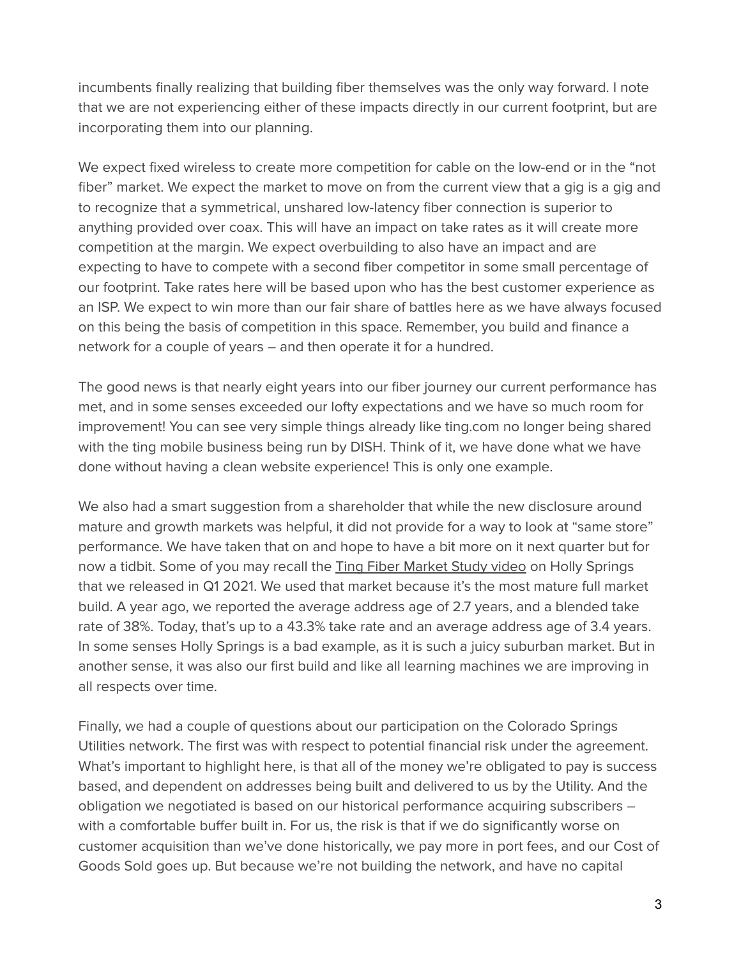incumbents finally realizing that building fiber themselves was the only way forward. I note that we are not experiencing either of these impacts directly in our current footprint, but are incorporating them into our planning.

We expect fixed wireless to create more competition for cable on the low-end or in the "not fiber" market. We expect the market to move on from the current view that a gig is a gig and to recognize that a symmetrical, unshared low-latency fiber connection is superior to anything provided over coax. This will have an impact on take rates as it will create more competition at the margin. We expect overbuilding to also have an impact and are expecting to have to compete with a second fiber competitor in some small percentage of our footprint. Take rates here will be based upon who has the best customer experience as an ISP. We expect to win more than our fair share of battles here as we have always focused on this being the basis of competition in this space. Remember, you build and finance a network for a couple of years – and then operate it for a hundred.

The good news is that nearly eight years into our fiber journey our current performance has met, and in some senses exceeded our lofty expectations and we have so much room for improvement! You can see very simple things already like ting.com no longer being shared with the ting mobile business being run by DISH. Think of it, we have done what we have done without having a clean website experience! This is only one example.

We also had a smart suggestion from a shareholder that while the new disclosure around mature and growth markets was helpful, it did not provide for a way to look at "same store" performance. We have taken that on and hope to have a bit more on it next quarter but for now a tidbit. Some of you may recall the Ting Fiber [Market](https://tucows.com/investors/investor-videos/) Study video on Holly Springs that we released in Q1 2021. We used that market because it's the most mature full market build. A year ago, we reported the average address age of 2.7 years, and a blended take rate of 38%. Today, that's up to a 43.3% take rate and an average address age of 3.4 years. In some senses Holly Springs is a bad example, as it is such a juicy suburban market. But in another sense, it was also our first build and like all learning machines we are improving in all respects over time.

Finally, we had a couple of questions about our participation on the Colorado Springs Utilities network. The first was with respect to potential financial risk under the agreement. What's important to highlight here, is that all of the money we're obligated to pay is success based, and dependent on addresses being built and delivered to us by the Utility. And the obligation we negotiated is based on our historical performance acquiring subscribers – with a comfortable buffer built in. For us, the risk is that if we do significantly worse on customer acquisition than we've done historically, we pay more in port fees, and our Cost of Goods Sold goes up. But because we're not building the network, and have no capital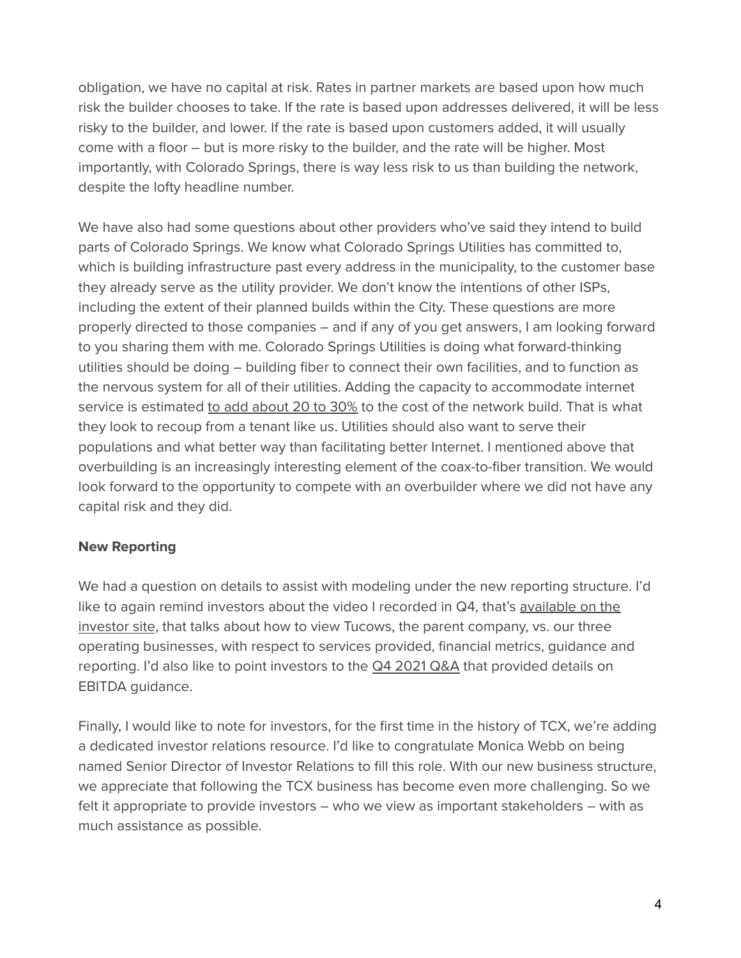obligation, we have no capital at risk. Rates in partner markets are based upon how much risk the builder chooses to take. If the rate is based upon addresses delivered, it will be less risky to the builder, and lower. If the rate is based upon customers added, it will usually come with a floor – but is more risky to the builder, and the rate will be higher. Most importantly, with Colorado Springs, there is way less risk to us than building the network, despite the lofty headline number.

We have also had some questions about other providers who've said they intend to build parts of Colorado Springs. We know what Colorado Springs Utilities has committed to, which is building infrastructure past every address in the municipality, to the customer base they already serve as the utility provider. We don't know the intentions of other ISPs, including the extent of their planned builds within the City. These questions are more properly directed to those companies – and if any of you get answers, I am looking forward to you sharing them with me. Colorado Springs Utilities is doing what forward-thinking utilities should be doing – building fiber to connect their own facilities, and to function as the nervous system for all of their utilities. Adding the capacity to accommodate internet service is estimated to add [about](https://gazette.com/premium/colorado-springs-utilities-says-leasing-capacity-would-pay-for-proposed-fiber-optic-network/article_02f2ae94-cb36-11ec-b851-a713e62ef43f.html) 20 to 30% to the cost of the network build. That is what they look to recoup from a tenant like us. Utilities should also want to serve their populations and what better way than facilitating better Internet. I mentioned above that overbuilding is an increasingly interesting element of the coax-to-fiber transition. We would look forward to the opportunity to compete with an overbuilder where we did not have any capital risk and they did.

#### **New Reporting**

We had a question on details to assist with modeling under the new reporting structure. I'd like to again remind investors about the video I recorded in Q4, that's [available](https://tucows.com/investors/investor-videos/) on the [investor](https://tucows.com/investors/investor-videos/) site, that talks about how to view Tucows, the parent company, vs. our three operating businesses, with respect to services provided, financial metrics, guidance and reporting. I'd also like to point investors to the Q4 [2021](https://tucows.com/wp-content/uploads/2022/03/2021-Q4-TCX-results-QA-transcript.pdf) Q&A that provided details on EBITDA guidance.

Finally, I would like to note for investors, for the first time in the history of TCX, we're adding a dedicated investor relations resource. I'd like to congratulate Monica Webb on being named Senior Director of Investor Relations to fill this role. With our new business structure, we appreciate that following the TCX business has become even more challenging. So we felt it appropriate to provide investors – who we view as important stakeholders – with as much assistance as possible.